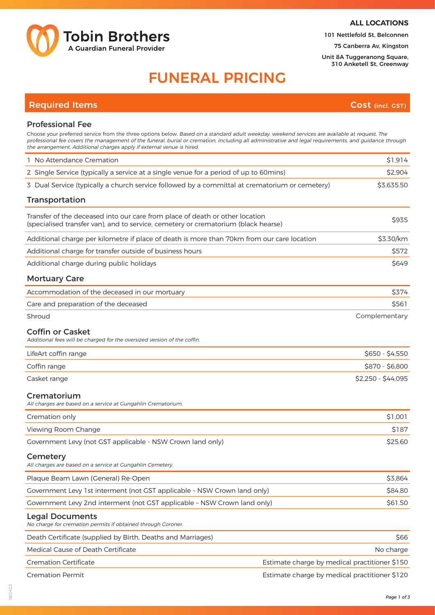

**ALL LOCATIONS**

101 Nettlefold St, Belconnen

75 Canberra Av, Kingston

Unit 8A Tuggeranong Square, 310 Anketell St, Greenway

# FUNERAL PRICING

## **Required Items Cost (incl. GST)**

### Professional Fee

| Choose your preferred service from the three options below. Based on a standard adult weekday, weekend services are available at request. The<br>professional fee covers the management of the funeral, burial or cremation, including all administrative and legal requirements, and guidance through<br>the arrangement. Additional charges apply if external venue is hired. |                                               |
|---------------------------------------------------------------------------------------------------------------------------------------------------------------------------------------------------------------------------------------------------------------------------------------------------------------------------------------------------------------------------------|-----------------------------------------------|
| 1 No Attendance Cremation                                                                                                                                                                                                                                                                                                                                                       | \$1,914                                       |
| 2 Single Service (typically a service at a single venue for a period of up to 60mins)                                                                                                                                                                                                                                                                                           | \$2,904                                       |
| 3 Dual Service (typically a church service followed by a committal at crematorium or cemetery)                                                                                                                                                                                                                                                                                  | \$3,635.50                                    |
| Transportation                                                                                                                                                                                                                                                                                                                                                                  |                                               |
| Transfer of the deceased into our care from place of death or other location<br>(specialised transfer van), and to service, cemetery or crematorium (black hearse)                                                                                                                                                                                                              | \$935                                         |
| Additional charge per kilometre if place of death is more than 70km from our care location                                                                                                                                                                                                                                                                                      | \$3.30/km                                     |
| Additional charge for transfer outside of business hours                                                                                                                                                                                                                                                                                                                        | \$572                                         |
| Additional charge during public holidays                                                                                                                                                                                                                                                                                                                                        | \$649                                         |
| <b>Mortuary Care</b>                                                                                                                                                                                                                                                                                                                                                            |                                               |
| Accommodation of the deceased in our mortuary                                                                                                                                                                                                                                                                                                                                   | \$374                                         |
| Care and preparation of the deceased                                                                                                                                                                                                                                                                                                                                            | \$561                                         |
| Shroud                                                                                                                                                                                                                                                                                                                                                                          | Complementary                                 |
| <b>Coffin or Casket</b><br>Additional fees will be charged for the oversized version of the coffin.                                                                                                                                                                                                                                                                             |                                               |
| LifeArt coffin range                                                                                                                                                                                                                                                                                                                                                            | $$650 - $4,550$                               |
| Coffin range                                                                                                                                                                                                                                                                                                                                                                    | \$870 - \$6,800                               |
| Casket range                                                                                                                                                                                                                                                                                                                                                                    | \$2,250 - \$44,095                            |
| Crematorium<br>All charges are based on a service at Gungahlin Crematorium.                                                                                                                                                                                                                                                                                                     |                                               |
| Cremation only                                                                                                                                                                                                                                                                                                                                                                  | \$1,001                                       |
| Viewing Room Change                                                                                                                                                                                                                                                                                                                                                             | \$187                                         |
| Government Levy (not GST applicable - NSW Crown land only)                                                                                                                                                                                                                                                                                                                      | \$25.60                                       |
| Cemetery<br>All charges are based on a service at Gungahlin Cemetery.                                                                                                                                                                                                                                                                                                           |                                               |
| Plaque Beam Lawn (General) Re-Open                                                                                                                                                                                                                                                                                                                                              | \$3,864                                       |
| Government Levy 1st interment (not GST applicable - NSW Crown land only)                                                                                                                                                                                                                                                                                                        | \$84.80                                       |
| Government Levy 2nd interment (not GST applicable - NSW Crown land only)                                                                                                                                                                                                                                                                                                        | \$61.50                                       |
| <b>Legal Documents</b><br>No charge for cremation permits if obtained through Coroner.                                                                                                                                                                                                                                                                                          |                                               |
| Death Certificate (supplied by Birth, Deaths and Marriages)                                                                                                                                                                                                                                                                                                                     | \$66                                          |
| Medical Cause of Death Certificate                                                                                                                                                                                                                                                                                                                                              | No charge                                     |
| <b>Cremation Certificate</b>                                                                                                                                                                                                                                                                                                                                                    | Estimate charge by medical practitioner \$150 |
| <b>Cremation Permit</b>                                                                                                                                                                                                                                                                                                                                                         | Estimate charge by medical practitioner \$120 |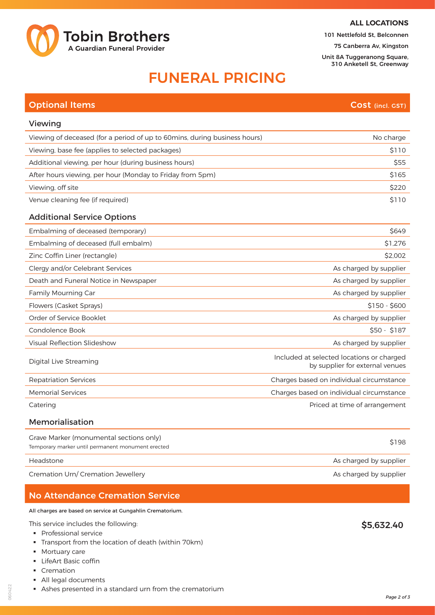

#### **ALL LOCATIONS**

101 Nettlefold St, Belconnen

75 Canberra Av, Kingston Unit 8A Tuggeranong Square,

310 Anketell St, Greenway

## FUNERAL PRICING

| <b>Optional Items</b>                                                                        | Cost (incl. GST)                                                             |
|----------------------------------------------------------------------------------------------|------------------------------------------------------------------------------|
| Viewing                                                                                      |                                                                              |
| Viewing of deceased (for a period of up to 60mins, during business hours)                    | No charge                                                                    |
| Viewing, base fee (applies to selected packages)                                             | \$110                                                                        |
| Additional viewing, per hour (during business hours)                                         | \$55                                                                         |
| After hours viewing, per hour (Monday to Friday from 5pm)                                    | \$165                                                                        |
| Viewing, off site                                                                            | \$220                                                                        |
| Venue cleaning fee (if required)                                                             | \$110                                                                        |
| <b>Additional Service Options</b>                                                            |                                                                              |
| Embalming of deceased (temporary)                                                            | \$649                                                                        |
| Embalming of deceased (full embalm)                                                          | \$1,276                                                                      |
| Zinc Coffin Liner (rectangle)                                                                | \$2,002                                                                      |
| Clergy and/or Celebrant Services                                                             | As charged by supplier                                                       |
| Death and Funeral Notice in Newspaper                                                        | As charged by supplier                                                       |
| Family Mourning Car                                                                          | As charged by supplier                                                       |
| Flowers (Casket Sprays)                                                                      | $$150 - $600$                                                                |
| Order of Service Booklet                                                                     | As charged by supplier                                                       |
| Condolence Book                                                                              | $$50 - $187$                                                                 |
| Visual Reflection Slideshow                                                                  | As charged by supplier                                                       |
| Digital Live Streaming                                                                       | Included at selected locations or charged<br>by supplier for external venues |
| <b>Repatriation Services</b>                                                                 | Charges based on individual circumstance                                     |
| <b>Memorial Services</b>                                                                     | Charges based on individual circumstance                                     |
| Catering                                                                                     | Priced at time of arrangement                                                |
| Memorialisation                                                                              |                                                                              |
| Grave Marker (monumental sections only)<br>Temporary marker until permanent monument erected | \$198                                                                        |
| Headstone                                                                                    | As charged by supplier                                                       |
|                                                                                              |                                                                              |

Cremation Urn/ Cremation Jewellery and the state of the state of the state of the Scharged by supplier

## No Attendance Cremation Service

All charges are based on service at Gungahlin Crematorium.

- This service includes the following:
- § Professional service
- § Transport from the location of death (within 70km)
- Mortuary care
- § LifeArt Basic coffin
- § Cremation
- § All legal documents
- § Ashes presented in a standard urn from the crematorium

\$5,632.40